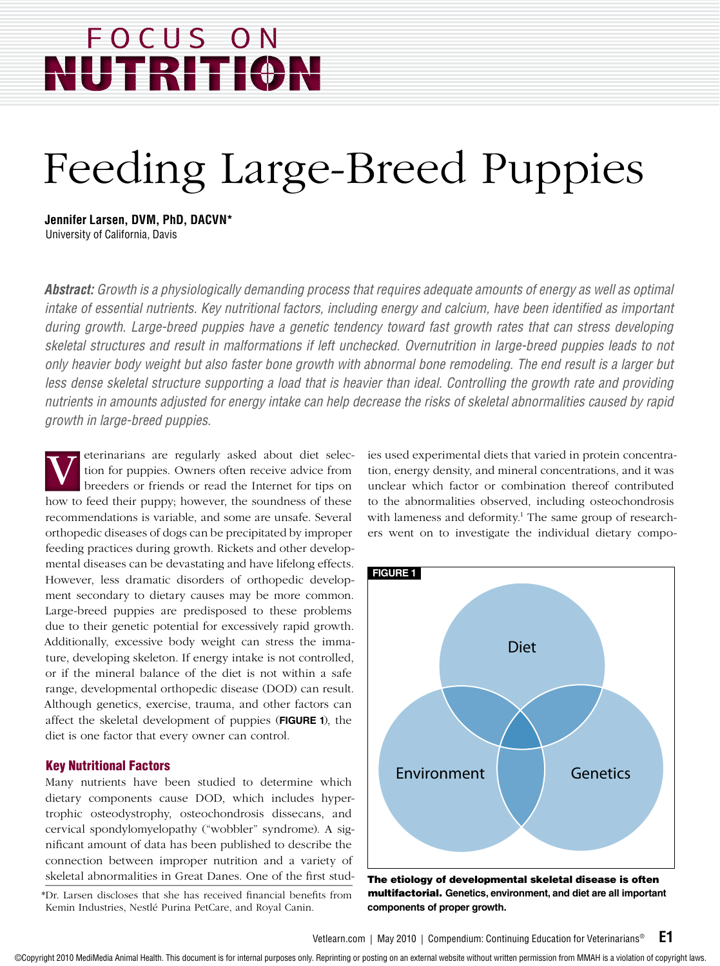# FOCUS ON FRITI(

# Feeding Large-Breed Puppies

**Jennifer Larsen, DVM, PhD, DACVN\*** University of California, Davis

*Abstract: Growth is a physiologically demanding process that requires adequate amounts of energy as well as optimal intake of essential nutrients. Key nutritional factors, including energy and calcium, have been identified as important during growth. Large-breed puppies have a genetic tendency toward fast growth rates that can stress developing skeletal structures and result in malformations if left unchecked. Overnutrition in large-breed puppies leads to not only heavier body weight but also faster bone growth with abnormal bone remodeling. The end result is a larger but*  less dense skeletal structure supporting a load that is heavier than ideal. Controlling the growth rate and providing *nutrients in amounts adjusted for energy intake can help decrease the risks of skeletal abnormalities caused by rapid growth in large-breed puppies.* 

eterinarians are regularly asked about diet selection for puppies. Owners often receive advice from breeders or friends or read the Internet for tips on how to feed their puppy; however, the soundness of these recommendations is variable, and some are unsafe. Several orthopedic diseases of dogs can be precipitated by improper feeding practices during growth. Rickets and other developmental diseases can be devastating and have lifelong effects. However, less dramatic disorders of orthopedic development secondary to dietary causes may be more common. Large-breed puppies are predisposed to these problems due to their genetic potential for excessively rapid growth. Additionally, excessive body weight can stress the immature, developing skeleton. If energy intake is not controlled, or if the mineral balance of the diet is not within a safe range, developmental orthopedic disease (DOD) can result. Although genetics, exercise, trauma, and other factors can affect the skeletal development of puppies (**FIGURE 1**), the diet is one factor that every owner can control. V

#### Key Nutritional Factors

Many nutrients have been studied to determine which dietary components cause DOD, which includes hypertrophic osteodystrophy, osteochondrosis dissecans, and cervical spondylomyelopathy ("wobbler" syndrome). A significant amount of data has been published to describe the connection between improper nutrition and a variety of skeletal abnormalities in Great Danes. One of the first studies used experimental diets that varied in protein concentration, energy density, and mineral concentrations, and it was unclear which factor or combination thereof contributed to the abnormalities observed, including osteochondrosis with lameness and deformity.<sup>1</sup> The same group of researchers went on to investigate the individual dietary compo-



The etiology of developmental skeletal disease is often multifactorial. **Genetics, environment, and diet are all important components of proper growth.**

<sup>\*</sup>Dr. Larsen discloses that she has received financial benefits from Kemin Industries, Nestlé Purina PetCare, and Royal Canin.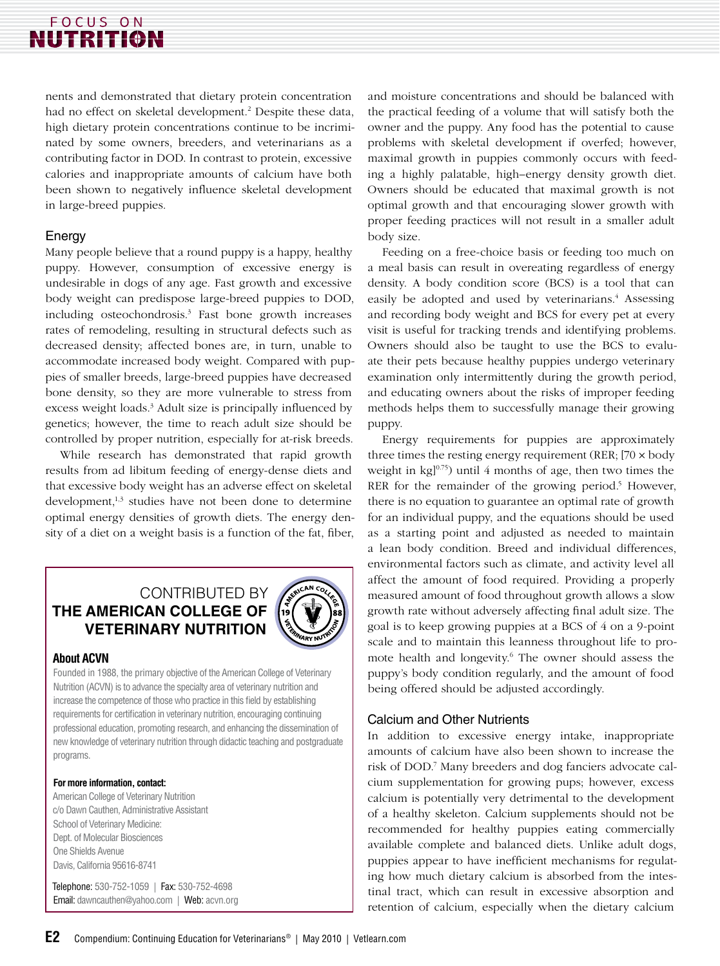## FOCUS ON **NUTRITION**

nents and demonstrated that dietary protein concentration had no effect on skeletal development.<sup>2</sup> Despite these data, high dietary protein concentrations continue to be incriminated by some owners, breeders, and veterinarians as a contributing factor in DOD. In contrast to protein, excessive calories and inappropriate amounts of calcium have both been shown to negatively influence skeletal development in large-breed puppies.

#### Energy

Many people believe that a round puppy is a happy, healthy puppy. However, consumption of excessive energy is undesirable in dogs of any age. Fast growth and excessive body weight can predispose large-breed puppies to DOD, including osteochondrosis.3 Fast bone growth increases rates of remodeling, resulting in structural defects such as decreased density; affected bones are, in turn, unable to accommodate increased body weight. Compared with puppies of smaller breeds, large-breed puppies have decreased bone density, so they are more vulnerable to stress from excess weight loads.<sup>3</sup> Adult size is principally influenced by genetics; however, the time to reach adult size should be controlled by proper nutrition, especially for at-risk breeds.

While research has demonstrated that rapid growth results from ad libitum feeding of energy-dense diets and that excessive body weight has an adverse effect on skeletal development,<sup>1,3</sup> studies have not been done to determine optimal energy densities of growth diets. The energy density of a diet on a weight basis is a function of the fat, fiber,

### CONTRIBUTED BY **The American College of Veterinary Nutrition**



#### **About ACVN**

Founded in 1988, the primary objective of the American College of Veterinary Nutrition (ACVN) is to advance the specialty area of veterinary nutrition and increase the competence of those who practice in this field by establishing requirements for certification in veterinary nutrition, encouraging continuing professional education, promoting research, and enhancing the dissemination of new knowledge of veterinary nutrition through didactic teaching and postgraduate programs.

#### **For more information, contact:**

American College of Veterinary Nutrition c/o Dawn Cauthen, Administrative Assistant School of Veterinary Medicine: Dept. of Molecular Biosciences One Shields Avenue Davis, California 95616-8741

Telephone: 530-752-1059 | Fax: 530-752-4698 Email: dawncauthen@yahoo.com | Web: acvn.org and moisture concentrations and should be balanced with the practical feeding of a volume that will satisfy both the owner and the puppy. Any food has the potential to cause problems with skeletal development if overfed; however, maximal growth in puppies commonly occurs with feeding a highly palatable, high–energy density growth diet. Owners should be educated that maximal growth is not optimal growth and that encouraging slower growth with proper feeding practices will not result in a smaller adult body size.

Feeding on a free-choice basis or feeding too much on a meal basis can result in overeating regardless of energy density. A body condition score (BCS) is a tool that can easily be adopted and used by veterinarians.<sup>4</sup> Assessing and recording body weight and BCS for every pet at every visit is useful for tracking trends and identifying problems. Owners should also be taught to use the BCS to evaluate their pets because healthy puppies undergo veterinary examination only intermittently during the growth period, and educating owners about the risks of improper feeding methods helps them to successfully manage their growing puppy.

Energy requirements for puppies are approximately three times the resting energy requirement (RER; [70 × body weight in  $kg]^{0.75}$ ) until 4 months of age, then two times the RER for the remainder of the growing period.<sup>5</sup> However, there is no equation to guarantee an optimal rate of growth for an individual puppy, and the equations should be used as a starting point and adjusted as needed to maintain a lean body condition. Breed and individual differences, environmental factors such as climate, and activity level all affect the amount of food required. Providing a properly measured amount of food throughout growth allows a slow growth rate without adversely affecting final adult size. The goal is to keep growing puppies at a BCS of 4 on a 9-point scale and to maintain this leanness throughout life to promote health and longevity.<sup>6</sup> The owner should assess the puppy's body condition regularly, and the amount of food being offered should be adjusted accordingly.

#### Calcium and Other Nutrients

In addition to excessive energy intake, inappropriate amounts of calcium have also been shown to increase the risk of DOD.7 Many breeders and dog fanciers advocate calcium supplementation for growing pups; however, excess calcium is potentially very detrimental to the development of a healthy skeleton. Calcium supplements should not be recommended for healthy puppies eating commercially available complete and balanced diets. Unlike adult dogs, puppies appear to have inefficient mechanisms for regulating how much dietary calcium is absorbed from the intestinal tract, which can result in excessive absorption and retention of calcium, especially when the dietary calcium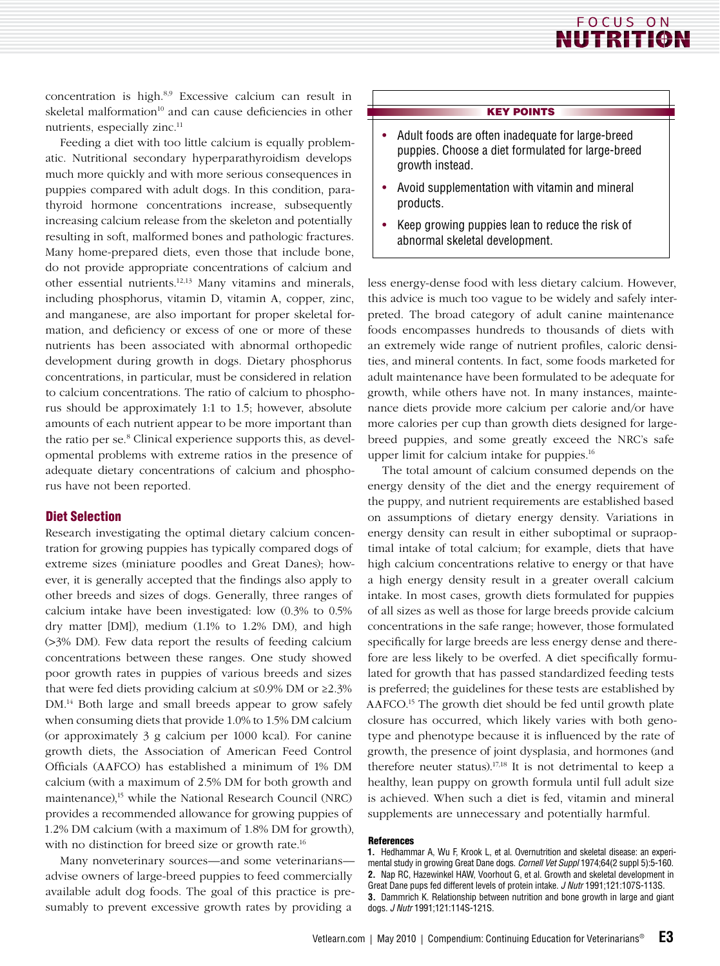

concentration is high.8,9 Excessive calcium can result in skeletal malformation<sup>10</sup> and can cause deficiencies in other nutrients, especially zinc.<sup>11</sup>

Feeding a diet with too little calcium is equally problematic. Nutritional secondary hyperparathyroidism develops much more quickly and with more serious consequences in puppies compared with adult dogs. In this condition, parathyroid hormone concentrations increase, subsequently increasing calcium release from the skeleton and potentially resulting in soft, malformed bones and pathologic fractures. Many home-prepared diets, even those that include bone, do not provide appropriate concentrations of calcium and other essential nutrients.12,13 Many vitamins and minerals, including phosphorus, vitamin D, vitamin A, copper, zinc, and manganese, are also important for proper skeletal formation, and deficiency or excess of one or more of these nutrients has been associated with abnormal orthopedic development during growth in dogs. Dietary phosphorus concentrations, in particular, must be considered in relation to calcium concentrations. The ratio of calcium to phosphorus should be approximately 1:1 to 1.5; however, absolute amounts of each nutrient appear to be more important than the ratio per se.<sup>8</sup> Clinical experience supports this, as developmental problems with extreme ratios in the presence of adequate dietary concentrations of calcium and phosphorus have not been reported.

#### Diet Selection

Research investigating the optimal dietary calcium concentration for growing puppies has typically compared dogs of extreme sizes (miniature poodles and Great Danes); however, it is generally accepted that the findings also apply to other breeds and sizes of dogs. Generally, three ranges of calcium intake have been investigated: low (0.3% to 0.5% dry matter [DM]), medium (1.1% to 1.2% DM), and high (>3% DM). Few data report the results of feeding calcium concentrations between these ranges. One study showed poor growth rates in puppies of various breeds and sizes that were fed diets providing calcium at ≤0.9% DM or ≥2.3% DM.<sup>14</sup> Both large and small breeds appear to grow safely when consuming diets that provide 1.0% to 1.5% DM calcium (or approximately 3 g calcium per 1000 kcal). For canine growth diets, the Association of American Feed Control Officials (AAFCO) has established a minimum of 1% DM calcium (with a maximum of 2.5% DM for both growth and maintenance),<sup>15</sup> while the National Research Council (NRC) provides a recommended allowance for growing puppies of 1.2% DM calcium (with a maximum of 1.8% DM for growth), with no distinction for breed size or growth rate.<sup>16</sup>

Many nonveterinary sources—and some veterinarians advise owners of large-breed puppies to feed commercially available adult dog foods. The goal of this practice is presumably to prevent excessive growth rates by providing a

#### KEY POINTS

- Adult foods are often inadequate for large-breed puppies. Choose a diet formulated for large-breed growth instead.
- Avoid supplementation with vitamin and mineral products.
- Keep growing puppies lean to reduce the risk of abnormal skeletal development.

less energy-dense food with less dietary calcium. However, this advice is much too vague to be widely and safely interpreted. The broad category of adult canine maintenance foods encompasses hundreds to thousands of diets with an extremely wide range of nutrient profiles, caloric densities, and mineral contents. In fact, some foods marketed for adult maintenance have been formulated to be adequate for growth, while others have not. In many instances, maintenance diets provide more calcium per calorie and/or have more calories per cup than growth diets designed for largebreed puppies, and some greatly exceed the NRC's safe upper limit for calcium intake for puppies.<sup>16</sup>

The total amount of calcium consumed depends on the energy density of the diet and the energy requirement of the puppy, and nutrient requirements are established based on assumptions of dietary energy density. Variations in energy density can result in either suboptimal or supraoptimal intake of total calcium; for example, diets that have high calcium concentrations relative to energy or that have a high energy density result in a greater overall calcium intake. In most cases, growth diets formulated for puppies of all sizes as well as those for large breeds provide calcium concentrations in the safe range; however, those formulated specifically for large breeds are less energy dense and therefore are less likely to be overfed. A diet specifically formulated for growth that has passed standardized feeding tests is preferred; the guidelines for these tests are established by AAFCO.15 The growth diet should be fed until growth plate closure has occurred, which likely varies with both genotype and phenotype because it is influenced by the rate of growth, the presence of joint dysplasia, and hormones (and therefore neuter status).<sup>17,18</sup> It is not detrimental to keep a healthy, lean puppy on growth formula until full adult size is achieved. When such a diet is fed, vitamin and mineral supplements are unnecessary and potentially harmful.

#### References

**<sup>1.</sup>** Hedhammar A, Wu F, Krook L, et al. Overnutrition and skeletal disease: an experimental study in growing Great Dane dogs. *Cornell Vet Suppl* 1974;64(2 suppl 5):5-160. **2.** Nap RC, Hazewinkel HAW, Voorhout G, et al. Growth and skeletal development in Great Dane pups fed different levels of protein intake. *J Nutr* 1991;121:107S-113S. **3.** Dammrich K. Relationship between nutrition and bone growth in large and giant dogs. *J Nutr* 1991;121:114S-121S.